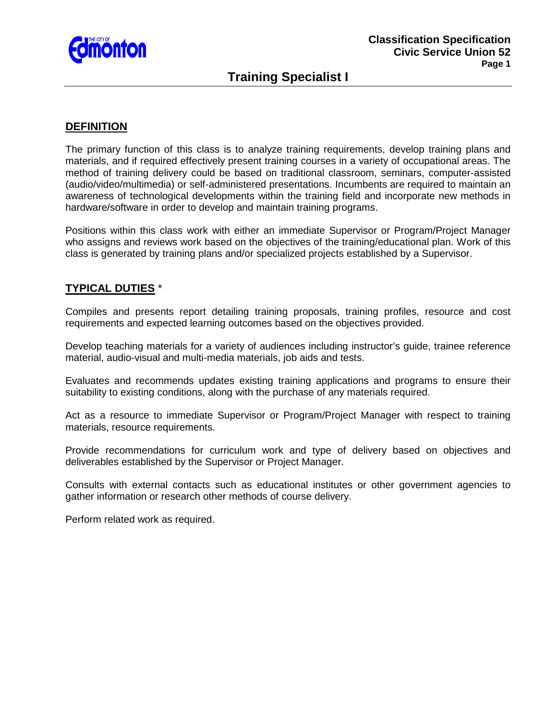

# **Training Specialist I**

### **DEFINITION**

The primary function of this class is to analyze training requirements, develop training plans and materials, and if required effectively present training courses in a variety of occupational areas. The method of training delivery could be based on traditional classroom, seminars, computer-assisted (audio/video/multimedia) or self-administered presentations. Incumbents are required to maintain an awareness of technological developments within the training field and incorporate new methods in hardware/software in order to develop and maintain training programs.

Positions within this class work with either an immediate Supervisor or Program/Project Manager who assigns and reviews work based on the objectives of the training/educational plan. Work of this class is generated by training plans and/or specialized projects established by a Supervisor.

#### **TYPICAL DUTIES** \*

Compiles and presents report detailing training proposals, training profiles, resource and cost requirements and expected learning outcomes based on the objectives provided.

Develop teaching materials for a variety of audiences including instructor's guide, trainee reference material, audio-visual and multi-media materials, job aids and tests.

Evaluates and recommends updates existing training applications and programs to ensure their suitability to existing conditions, along with the purchase of any materials required.

Act as a resource to immediate Supervisor or Program/Project Manager with respect to training materials, resource requirements.

Provide recommendations for curriculum work and type of delivery based on objectives and deliverables established by the Supervisor or Project Manager.

Consults with external contacts such as educational institutes or other government agencies to gather information or research other methods of course delivery.

Perform related work as required.